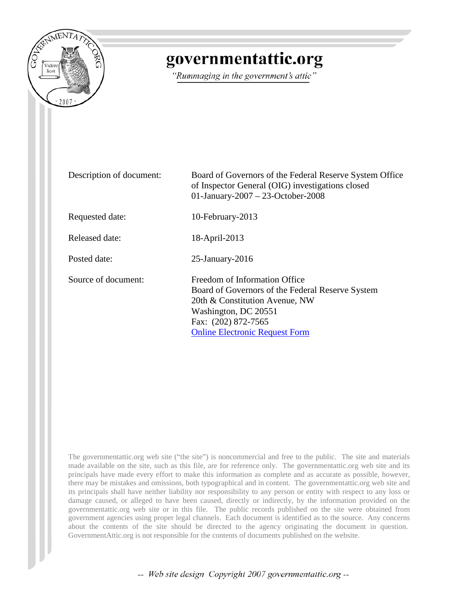

## governmentattic.org

"Rummaging in the government's attic"

| Description of document: | Board of Governors of the Federal Reserve System Office<br>of Inspector General (OIG) investigations closed<br>01-January-2007 - 23-October-2008                                                            |
|--------------------------|-------------------------------------------------------------------------------------------------------------------------------------------------------------------------------------------------------------|
| Requested date:          | 10-February-2013                                                                                                                                                                                            |
| Released date:           | 18-April-2013                                                                                                                                                                                               |
| Posted date:             | $25$ -January- $2016$                                                                                                                                                                                       |
| Source of document:      | Freedom of Information Office<br>Board of Governors of the Federal Reserve System<br>20th & Constitution Avenue, NW<br>Washington, DC 20551<br>Fax: (202) 872-7565<br><b>Online Electronic Request Form</b> |

The governmentattic.org web site ("the site") is noncommercial and free to the public. The site and materials made available on the site, such as this file, are for reference only. The governmentattic.org web site and its principals have made every effort to make this information as complete and as accurate as possible, however, there may be mistakes and omissions, both typographical and in content. The governmentattic.org web site and its principals shall have neither liability nor responsibility to any person or entity with respect to any loss or damage caused, or alleged to have been caused, directly or indirectly, by the information provided on the governmentattic.org web site or in this file. The public records published on the site were obtained from government agencies using proper legal channels. Each document is identified as to the source. Any concerns about the contents of the site should be directed to the agency originating the document in question. GovernmentAttic.org is not responsible for the contents of documents published on the website.

-- Web site design Copyright 2007 governmentattic.org --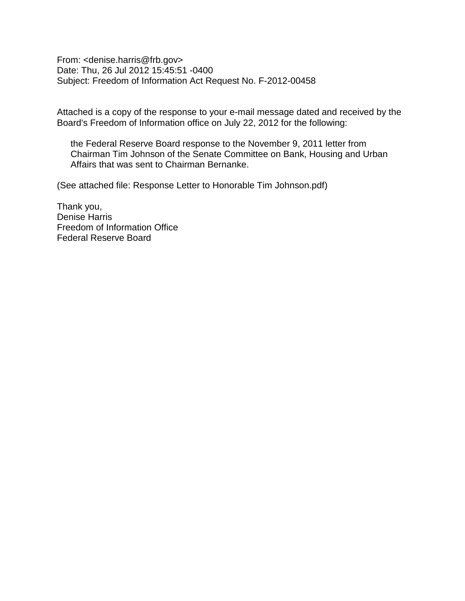From: <denise.harris@frb.gov> Date: Thu, 26 Jul 2012 15:45:51 -0400 Subject: Freedom of Information Act Request No. F-2012-00458

Attached is a copy of the response to your e-mail message dated and received by the Board's Freedom of Information office on July 22, 2012 for the following:

the Federal Reserve Board response to the November 9, 2011 letter from Chairman Tim Johnson of the Senate Committee on Bank, Housing and Urban Affairs that was sent to Chairman Bernanke.

(See attached file: Response Letter to Honorable Tim Johnson.pdf)

Thank you, Denise Harris Freedom of Information Office Federal Reserve Board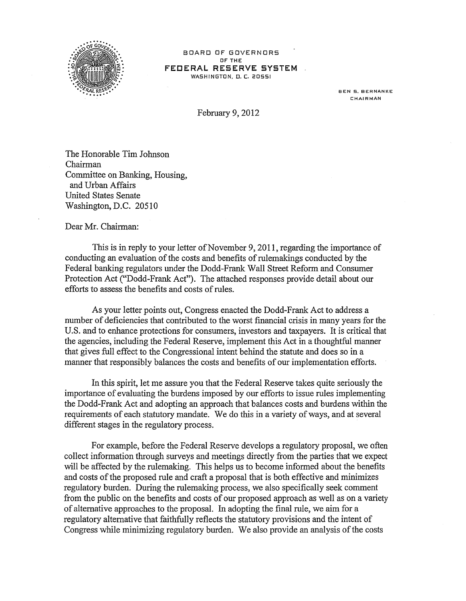

BOARD OF GOVERNORS OF THE **FEDERAL RESERVE SYSTEM**  WASHINGTON, D. C. 20551

> BEN S. BERNANKE **CHAIRMAN**

February 9, 2012

The Honorable Tim Johnson Chairman Committee on Banking, Housing, and Urban Affairs United States Senate Washington, D.C. 20510

Dear Mr. Chairman:

This is in reply to your letter of November 9, 2011, regarding the importance of conducting an evaluation of the costs and benefits of rulemakings conducted by the Federal banking regulators under the Dodd-Frank Wall Street Reform and Consumer Protection Act ("Dodd-Frank Act"). The attached responses provide detail about our efforts to assess the benefits and costs of rules.

As your letter points out, Congress enacted the Dodd-Frank Act to address a number of deficiencies that contributed to the worst financial crisis in many years for the U.S. and to enhance protections for consumers, investors and taxpayers. It is critical that the agencies, including the Federal Reserve, implement this Act in a thoughtful manner that gives full effect to the Congressional intent behind the statute and does so in a manner that responsibly balances the costs and benefits of our implementation efforts.

In this spirit, let me assure you that the Federal Reserve takes quite seriously the importance of evaluating the burdens imposed by our efforts to issue rules implementing the Dodd-Frank Act and adopting an approach that balances costs and burdens within the requirements of each statutory mandate. We do this in a variety of ways, and at several different stages in the regulatory process.

For example, before the Federal Reserve develops a regulatory proposal, we often collect information through surveys and meetings directly from the parties that we expect will be affected by the rulemaking. This helps us to become informed about the benefits and costs of the proposed rule and craft a proposal that is both effective and minimizes regulatory burden. During the rulemaking process, we also specifically seek comment from the public on the benefits and costs of our proposed approach as well as on a variety of alternative approaches to the proposal. In adopting the final rule, we aim for a regulatory alternative that faithfully reflects the statutory provisions and the intent of Congress while minimizing regulatory burden. We also provide an analysis of the costs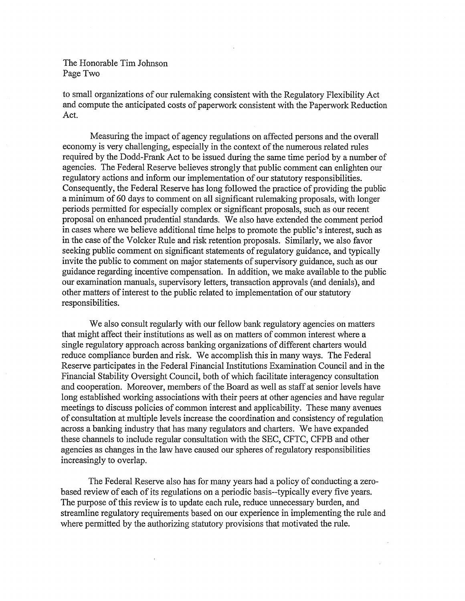The Honorable Tim Johnson Page Two

to small organizations of our rulemaking consistent with the Regulatory Flexibility Act and compute the anticipated costs of paperwork consistent with the Paperwork Reduction Act.

Measuring the impact of agency regulations on affected persons and the overall economy is very challenging, especially in the context of the numerous related rules required by the Dodd-Frank Act to be issued during the same time period by a number of agencies. The Federal Reserve believes strongly that public comment can enlighten our regulatory actions and inform our implementation of our statutory responsibilities. Consequently, the Federal Reserve has long followed the practice of providing the public a minimum of 60 days to comment on all significant rulemaking proposals, with longer periods permitted for especially complex or significant proposals, such as our recent proposal on enhanced prudential standards. We also have extended the comment period in cases where we believe additional time helps to promote the public's interest, such as in the case of the Volcker Rule and risk retention proposals. Similarly, we also favor seeking public comment on significant statements of regulatory guidance, and typically invite the public to comment on major statements of supervisory guidance, such as our guidance regarding incentive compensation. In addition, we make available to the public our examination manuals, supervisory letters, transaction approvals (and denials), and other matters of interest to the public related to implementation of our statutory responsibilities.

We also consult regularly with our fellow bank regulatory agencies on matters that might affect their institutions as well as on matters of common interest where a single regulatory approach across banking organizations of different charters would reduce compliance burden and risk. We accomplish this in many ways. The Federal Reserve participates in the Federal Financial Institutions Examination Council and in the Financial Stability Oversight Council, both of which facilitate interagency consultation and cooperation. Moreover, members of the Board as well as staff at senior levels have long established working associations with their peers at other agencies and have regular meetings to discuss policies of common interest and applicability. These many avenues of consultation at multiple levels increase the coordination and consistency of regulation across a banking industry that has many regulators and charters. We have expanded these channels to include regular consultation with the SEC, CFTC, CFPB and other agencies as changes in the law have caused our spheres of regulatory responsibilities increasingly to overlap.

The Federal Reserve also has for many years had a policy of conducting a zerobased review of each of its regulations on a periodic basis--typically every five years. The purpose of this review is to update each rule, reduce unnecessary burden, and streamline regulatory requirements based on our experience in implementing the rule and where permitted by the authorizing statutory provisions that motivated the rule.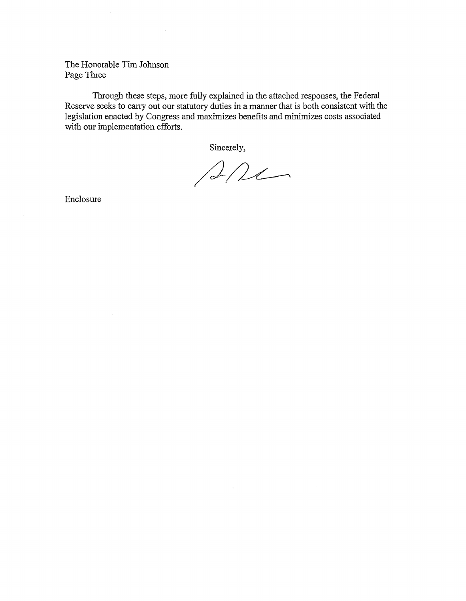The Honorable Tim Johnson Page Three

Through these steps, more fully explained in the attached responses, the Federal Reserve seeks to carry out our statutory duties in a manner that is both consistent with the legislation enacted by Congress and maximizes benefits and minimizes costs associated with our implementation efforts.

Sincerely,

 $ALC$ 

 $\mathcal{L}^{(1)}$  .

Enclosure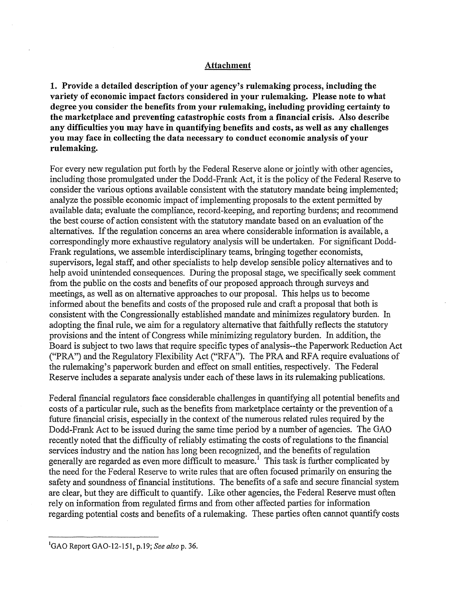## **Attachment**

**1. Provide a detailed description of your agency's rulemaking process, including the variety of economic impact factors considered in your rulemaking. Please note to what degree you consider the benefits from your rulemaking, including providing certainty to the marketplace and preventing catastrophic costs from a financial crisis. Also describe any difficulties you may have in quantifying benefits and costs, as well as any challenges you may face in collecting the data necessary to conduct economic analysis of your rulemaking.** 

For every new regulation put forth by the Federal Reserve alone or jointly with other agencies, including those promulgated under the Dodd-Frank Act, it is the policy of the Federal Reserve to consider the various options available consistent with the statutory mandate being implemented; analyze the possible economic impact of implementing proposals to the extent permitted by available data; evaluate the compliance, record-keeping, and reporting burdens; and recommend the best course of action consistent with the statutory mandate based on an evaluation of the alternatives. If the regulation concerns an area where considerable information is available, a correspondingly more exhaustive regulatory analysis will be undertaken. For significant Dodd-Frank regulations, we assemble interdisciplinary teams, bringing together economists, supervisors, legal staff, and other specialists to help develop sensible policy alternatives and to help avoid unintended consequences. During the proposal stage, we specifically seek comment from the public on the costs and benefits of our proposed approach through surveys and meetings, as well as on alternative approaches to our proposal. This helps us to become informed about the benefits and costs of the proposed rule and craft a proposal that both is consistent with the Congressionally established mandate and minimizes regulatory burden. In adopting the final rule, we aim for a regulatory alternative that faithfully reflects the statutory provisions and the intent of Congress while minimizing regulatory burden. In addition, the Board is subject to two laws that require specific types of analysis--the Paperwork Reduction Act ("PRA") and the Regulatory Flexibility Act ("RFA"). The PRA and RFA require evaluations of the rulemaking's paperwork burden and effect on small entities, respectively. The Federal Reserve includes a separate analysis under each of these laws in its rulemaking publications.

Federal financial regulators face considerable challenges in quantifying all potential benefits and costs of a particular rule, such as the benefits from marketplace certainty or the prevention of a future financial crisis, especially in the context of the numerous related rules required by the Dodd-Frank Act to be issued during the same time period by a number of agencies. The GAO recently noted that the difficulty of reliably estimating the costs of regulations to the financial services industry and the nation has long been recognized, and the benefits of regulation generally are regarded as even more difficult to measure.<sup>1</sup> This task is further complicated by the need for the Federal Reserve to write rules that are often focused primarily on ensuring the safety and soundness of financial institutions. The benefits of a safe and secure financial system are clear, but they are difficult to quantify. Like other agencies, the Federal Reserve must often rely on information from regulated firms and from other affected parties for information regarding potential costs and benefits of a rulemaking. These parties often cannot quantify costs

<sup>1</sup> GAO Report GA0-12-151, p.19; *See also* p. 36.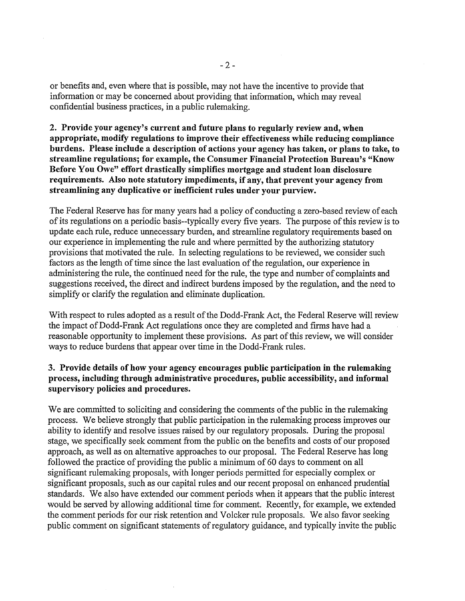or benefits and, even where that is possible, may not have the incentive to provide that information or may be concerned about providing that information, which may reveal confidential business practices, in a public rulemaking.

**2. Provide your agency's current and future plans to regularly review and, when appropriate, modify regulations to improve their effectiveness while reducing compliance burdens. Please include a description of actions your agency has taken, or plans to take, to streamline regulations; for example, the Consumer Financial Protection Bureau's "Know Before You Owe" effort drastically simplifies mortgage and student loan disclosure requirements. Also note statutory impediments, if any, that prevent your agency from streamlining any duplicative or inefficient rules under your purview.** 

The Federal Reserve has for many years had a policy of conducting a zero-based review of each of its regulations on a periodic basis--typically every five years. The purpose of this review is to update each rule, reduce unnecessary burden, and streamline regulatory requirements based on our experience in implementing the rule and where permitted by the authorizing statutory provisions that motivated the rule. In selecting regulations to be reviewed, we consider such factors as the length of time since the last evaluation of the regulation, our experience in administering the rule, the continued need for the rule, the type and number of complaints and suggestions received, the direct and indirect burdens imposed by the regulation, and the need to simplify or clarify the regulation and eliminate duplication.

With respect to rules adopted as a result of the Dodd-Frank Act, the Federal Reserve will review the impact of Dodd-Frank Act regulations once they are completed and firms have had a reasonable opportunity to implement these provisions. As part of this review, we will consider ways to reduce burdens that appear over time in the Dodd-Frank rules.

## **3. Provide details of how your agency encourages public participation in the rulemaking process, including through administrative procedures, public accessibility, and informal supervisory policies and procedures.**

We are committed to soliciting and considering the comments of the public in the rulemaking process. We believe strongly that public participation in the rulemaking process improves our ability to identify and resolve issues raised by our regulatory proposals. During the proposal stage, we specifically seek comment from the public on the benefits and costs of our proposed approach, as well as on alternative approaches to our proposal. The Federal Reserve has long followed the practice of providing the public a minimum of 60 days to comment on all significant rulemaking proposals, with longer periods permitted for especially complex or significant proposals, such as our capital rules and our recent proposal on enhanced prudential standards. We also have extended our comment periods when it appears that the public interest would be served by allowing additional time for comment. Recently, for example, we extended the comment periods for our risk retention and Volcker rule proposals. We also favor seeking public comment on significant statements of regulatory guidance, and typically invite the public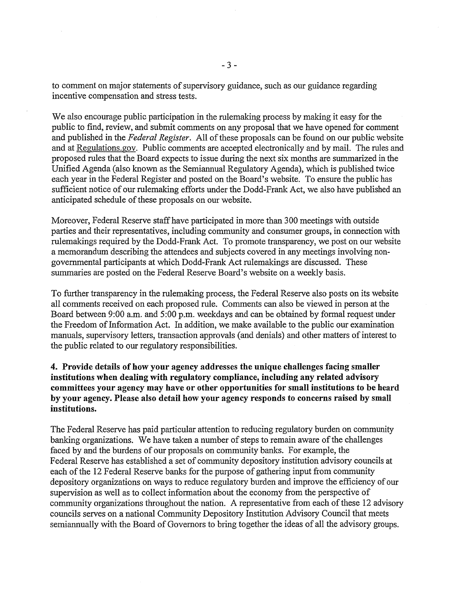to comment on major statements of supervisory guidance, such as our guidance regarding incentive compensation and stress tests.

We also encourage public participation in the rulemaking process by making it easy for the public to find, review, and submit comments on any proposal that we have opened for comment and published in the *Federal Register.* All of these proposals can be found on our public website and at Regulations.gov. Public comments are accepted electronically and by mail. The rules and proposed rules that the Board expects to issue during the next six months are summarized in the Unified Agenda (also known as the Semiannual Regulatory Agenda), which is published twice each year in the Federal Register and posted on the Board's website. To ensure the public has sufficient notice of our rulemaking efforts under the Dodd-Frank Act, we also have published an anticipated schedule of these proposals on our website.

Moreover, Federal Reserve staff have participated in more than 300 meetings with outside parties and their representatives, including community and consumer groups, in connection with rulemakings required by the Dodd-Frank Act. To promote transparency, we post on our website a memorandum describing the attendees and subjects covered in any meetings involving nongovernmental participants at which Dodd-Frank Act rulemakings are discussed. These summaries are posted on the Federal Reserve Board's website on a weekly basis.

To further transparency in the rulemaking process, the Federal Reserve also posts on its website all comments received on each proposed rule. Comments can also be viewed in person at the Board between 9:00 a.m. and 5:00 p.m. weekdays and can be obtained by formal request under the Freedom of Information Act. In addition, we make available to the public our examination manuals, supervisory letters, transaction approvals (and denials) and other matters of interest to the public related to our regulatory responsibilities.

**4. Provide details of how your agency addresses the unique challenges facing smaller institutions when dealing with regulatory compliance, including any related advisory committees your agency may have or other opportunities for small institutions to be heard by your agency. Please also detail how your agency responds to concerns raised by small institutions.** 

The Federal Reserve has paid particular attention to reducing regulatory burden on community banking organizations. We have taken a number of steps to remain aware of the challenges faced by and the burdens of our proposals on community banks. For example, the Federal Reserve has established a set of community depository institution advisory councils at each of the 12 Federal Reserve banks for the purpose of gathering input from community depository organizations on ways to reduce regulatory burden and improve the efficiency of our supervision as well as to collect information about the economy from the perspective of community organizations throughout the nation. A representative from each of these 12 advisory councils serves on a national Community Depository Institution Advisory Council that meets semiannually with the Board of Governors to bring together the ideas of all the advisory groups.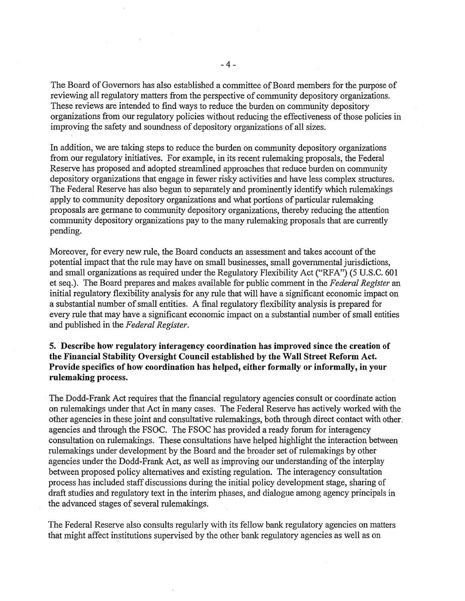The Board of Governors has also established a committee of Board members for the purpose of reviewing all regulatory matters from the perspective of community depository organizations. These reviews are intended to find ways to reduce the burden on community depository organizations from our regulatory policies without reducing the effectiveness of those policies in improving the safety and soundness of depository organizations of all sizes.

In addition, we are taking steps to reduce the burden on community depository organizations from our regulatory initiatives. For example, in its recent rulemaking proposals, the Federal Reserve has proposed and adopted streamlined approaches that reduce burden on community depository organizations that engage in fewer risky activities and have less complex structures. The Federal Reserve has also begun to separately and prominently identify which rulemakings apply to community depository organizations and what portions of particular rulemaking proposals are germane to community depository organizations, thereby reducing the attention community depository organizations pay to the many rulemaking proposals that are currently pending.

Moreover, for every new rule, the Board conducts an assessment and takes account of the potential impact that the rule may have on small businesses, small governmental jurisdictions, and small organizations as required under the Regulatory Flexibility Act ("RFA") (5 U.S.C. 601 et seq.). The Board prepares and makes available for public comment in the *Federal Register* an initial regulatory flexibility analysis for any rule that will have a significant economic impact on a substantial number of small entities. A final regulatory flexibility analysis is prepared for every rule that may have a significant economic impact on a substantial number of small entities and published in the *Federal Register.* 

**5. Describe how regulatory interagency coordination has improved since the creation of the Financial Stability Oversight Council established by the Wall Street Reform Act. Provide specifics of how coordination has helped, either formally or informally, in your rulemaking process.** 

The Dodd-Frank Act requires that the financial regulatory agencies consult or coordinate action on rulemakings under that Act in many cases. The Federal Reserve has actively worked with the other agencies in these joint and consultative rulemakings, both through direct contact with other. agencies and through the FSOC. The FSOC has provided a ready forum for interagency consultation on rulemakings. These consultations have helped highlight the interaction between rulemakings under development by the Board and the broader set of rulemakings by other agencies under the Dodd-Frank Act, as well as improving our understanding of the interplay between proposed policy alternatives and existing regulation. The interagency consultation process has included staff discussions during the initial policy development stage, sharing of draft studies and regulatory text in the interim phases, and dialogue among agency principals in the advanced stages of several rulemakings.

The Federal Reserve also consults regularly with its fellow bank regulatory agencies on matters that might affect institutions supervised by the other bank regulatory agencies as well as on